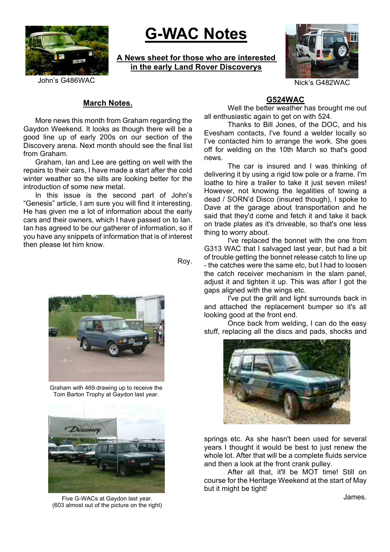

# **G-WAC Notes**

**A News sheet for those who are interested in the early Land Rover Discoverys**



# John's G486WAC Nick's G482WAC Nick's G482WAC

# **March Notes.**

More news this month from Graham regarding the Gaydon Weekend. It looks as though there will be a good line up of early 200s on our section of the Discovery arena. Next month should see the final list from Graham.

Graham, Ian and Lee are getting on well with the repairs to their cars, I have made a start after the cold winter weather so the sills are looking better for the introduction of some new metal.

In this issue is the second part of John's "Genesis" article, I am sure you will find it interesting. He has given me a lot of information about the early cars and their owners, which I have passed on to Ian. Ian has agreed to be our gatherer of information, so if you have any snippets of information that is of interest then please let him know.

Roy.



Graham with 469 drawing up to receive the Tom Barton Trophy at Gaydon last year.



Five G-WACs at Gaydon last year. The state of the state of the state of the state of the state of the state of the state of the state of the state of the state of the state of the state of the state of the state of the sta (603 almost out of the picture on the right)

# **G524WAC**

Well the better weather has brought me out all enthusiastic again to get on with 524.

Thanks to Bill Jones, of the DOC, and his Evesham contacts, I've found a welder locally so I've contacted him to arrange the work. She goes off for welding on the 10th March so that's good news.

The car is insured and I was thinking of delivering it by using a rigid tow pole or a frame. I'm loathe to hire a trailer to take it just seven miles! However, not knowing the legalities of towing a dead / SORN'd Disco (insured though), I spoke to Dave at the garage about transportation and he said that they'd come and fetch it and take it back on trade plates as it's driveable, so that's one less thing to worry about.

I've replaced the bonnet with the one from G313 WAC that I salvaged last year, but had a bit of trouble getting the bonnet release catch to line up - the catches were the same etc, but I had to loosen the catch receiver mechanism in the slam panel, adjust it and tighten it up. This was after I got the gaps aligned with the wings etc.

I've put the grill and light surrounds back in and attached the replacement bumper so it's all looking good at the front end.

Once back from welding, I can do the easy stuff, replacing all the discs and pads, shocks and



springs etc. As she hasn't been used for several years I thought it would be best to just renew the whole lot. After that will be a complete fluids service and then a look at the front crank pulley.

After all that, it'll be MOT time! Still on course for the Heritage Weekend at the start of May but it might be tight!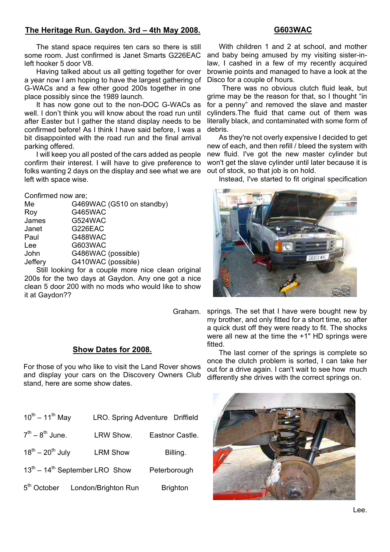# **The Heritage Run. Gaydon. 3rd – 4th May 2008.**

#### **G603WAC**

The stand space requires ten cars so there is still some room. Just confirmed is Janet Smarts G226EAC left hooker 5 door V8.

Having talked about us all getting together for over a year now I am hoping to have the largest gathering of G-WACs and a few other good 200s together in one place possibly since the 1989 launch.

It has now gone out to the non-DOC G-WACs as well. I don't think you will know about the road run until after Easter but I gather the stand display needs to be confirmed before! As I think I have said before, I was a bit disappointed with the road run and the final arrival parking offered.

I will keep you all posted of the cars added as people confirm their interest. I will have to give preference to folks wanting 2 days on the display and see what we are left with space wise.

#### Confirmed now are;

| Me      | G469WAC (G510 on standby) |
|---------|---------------------------|
| Roy     | <b>G465WAC</b>            |
| James   | G524WAC                   |
| Janet   | G226EAC                   |
| Paul    | <b>G488WAC</b>            |
| Lee     | G603WAC                   |
| John    | G486WAC (possible)        |
| Jeffery | G410WAC (possible)        |
|         |                           |

Still looking for a couple more nice clean original 200s for the two days at Gaydon. Any one got a nice clean 5 door 200 with no mods who would like to show it at Gaydon??

#### **Show Dates for 2008.**

For those of you who like to visit the Land Rover shows and display your cars on the Discovery Owners Club stand, here are some show dates.

| $10^{th} - 11^{th}$ May                              |                                             | LRO. Spring Adventure Driffield |
|------------------------------------------------------|---------------------------------------------|---------------------------------|
| $7^{th} - 8^{th}$ June.                              | LRW Show.                                   | Eastnor Castle.                 |
| $18^{th} - 20^{th}$ July                             | <b>LRM Show</b>                             | Billing.                        |
| $13^{\text{th}} - 14^{\text{th}}$ September LRO Show |                                             | Peterborough                    |
|                                                      | 5 <sup>th</sup> October London/Brighton Run | <b>Brighton</b>                 |

With children 1 and 2 at school, and mother and baby being amused by my visiting sister-inlaw, I cashed in a few of my recently acquired brownie points and managed to have a look at the Disco for a couple of hours.

There was no obvious clutch fluid leak, but grime may be the reason for that, so I thought "in for a penny" and removed the slave and master cylinders.The fluid that came out of them was literally black, and contaminated with some form of debris.

As they're not overly expensive I decided to get new of each, and then refill / bleed the system with new fluid. I've got the new master cylinder but won't get the slave cylinder until later because it is out of stock, so that job is on hold.

Instead, I've started to fit original specification



Graham. springs. The set that I have were bought new by my brother, and only fitted for a short time, so after a quick dust off they were ready to fit. The shocks were all new at the time the +1" HD springs were fitted.

> The last corner of the springs is complete so once the clutch problem is sorted, I can take her out for a drive again. I can't wait to see how much differently she drives with the correct springs on.

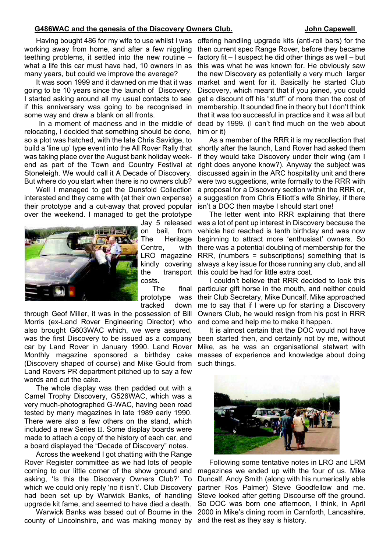#### G486WAC and the genesis of the Discovery Owners Club. **John Capewell**

working away from home, and after a few niggling teething problems, it settled into the new routine – what a life this car must have had, 10 owners in as many years, but could we improve the average?

It was soon 1999 and it dawned on me that it was going to be 10 years since the launch of Discovery. I started asking around all my usual contacts to see if this anniversary was going to be recognised in some way and drew a blank on all fronts.

 In a moment of madness and in the middle of relocating, I decided that something should be done, so a plot was hatched, with the late Chris Savidge, to was taking place over the August bank holiday weekend as part of the Town and Country Festival at Stoneleigh. We would call it A Decade of Discovery. But where do you start when there is no owners club?

Well I managed to get the Dunsfold Collection interested and they came with (at their own expense) their prototype and a cut-away that proved popular over the weekend. I managed to get the prototype



on bail, Centre, costs.

prototype was tracked down

through Geof Miller, it was in the possession of Bill Morris (ex-Land Rover Engineering Director) who also brought G603WAC which, we were assured, was the first Discovery to be issued as a company car by Land Rover in January 1990. Land Rover Monthly magazine sponsored a birthday cake (Discovery shaped of course) and Mike Gould from such things. Land Rovers PR department pitched up to say a few words and cut the cake.

The whole display was then padded out with a Camel Trophy Discovery, G526WAC, which was a very much-photographed G-WAC, having been road tested by many magazines in late 1989 early 1990. There were also a few others on the stand, which included a new Series II. Some display boards were made to attach a copy of the history of each car, and a board displayed the "Decade of Discovery" notes.

Across the weekend I got chatting with the Range Rover Register committee as we had lots of people coming to our little corner of the show ground and asking, 'Is this the Discovery Owners Club?' To which we could only reply 'no it isn't'. Club Discovery had been set up by Warwick Banks, of handling upgrade kit fame, and seemed to have died a death.

Warwick Banks was based out of Bourne in the county of Lincolnshire, and was making money by and the rest as they say is history.

Having bought 486 for my wife to use whilst I was offering handling upgrade kits (anti-roll bars) for the then current spec Range Rover, before they became factory fit – I suspect he did other things as well – but this was what he was known for. He obviously saw the new Discovery as potentially a very much larger market and went for it. Basically he started Club Discovery, which meant that if you joined, you could get a discount off his "stuff" of more than the cost of membership. It sounded fine in theory but I don't think that it was too successful in practice and it was all but dead by 1999. (I can't find much on the web about him or it)

build a 'line up' type event into the All Rover Rally that shortly after the launch, Land Rover had asked them As a member of the RRR it is my recollection that if they would take Discovery under their wing (am I right does anyone know?). Anyway the subject was discussed again in the ARC hospitality unit and there were two suggestions, write formally to the RRR with a proposal for a Discovery section within the RRR or, a suggestion from Chris Elliott's wife Shirley, if there isn't a DOC then maybe I should start one!

> Jay 5 released was a lot of pent up interest in Discovery because the The Heritage beginning to attract more 'enthusiast' owners. So LRO magazine RRR, (numbers = subscriptions) something that is kindly covering always a key issue for those running any club, and all the transport this could be had for little extra cost. The letter went into RRR explaining that there from vehicle had reached is tenth birthday and was now with there was a potential doubling of membership for the

The final particular gift horse in the mouth, and neither could I couldn't believe that RRR decided to look this their Club Secretary, Mike Duncalf. Mike approached me to say that if I were up for starting a Discovery Owners Club, he would resign from his post in RRR and come and help me to make it happen.

> It is almost certain that the DOC would not have been started then, and certainly not by me, without Mike, as he was an organisational stalwart with masses of experience and knowledge about doing



Following some tentative notes in LRO and LRM magazines we ended up with the four of us. Mike Duncalf, Andy Smith (along with his numerically able partner Ros Palmer) Steve Goodfellow and me. Steve looked after getting Discourse off the ground. So DOC was born one afternoon, I think, in April 2000 in Mike's dining room in Carnforth, Lancashire,